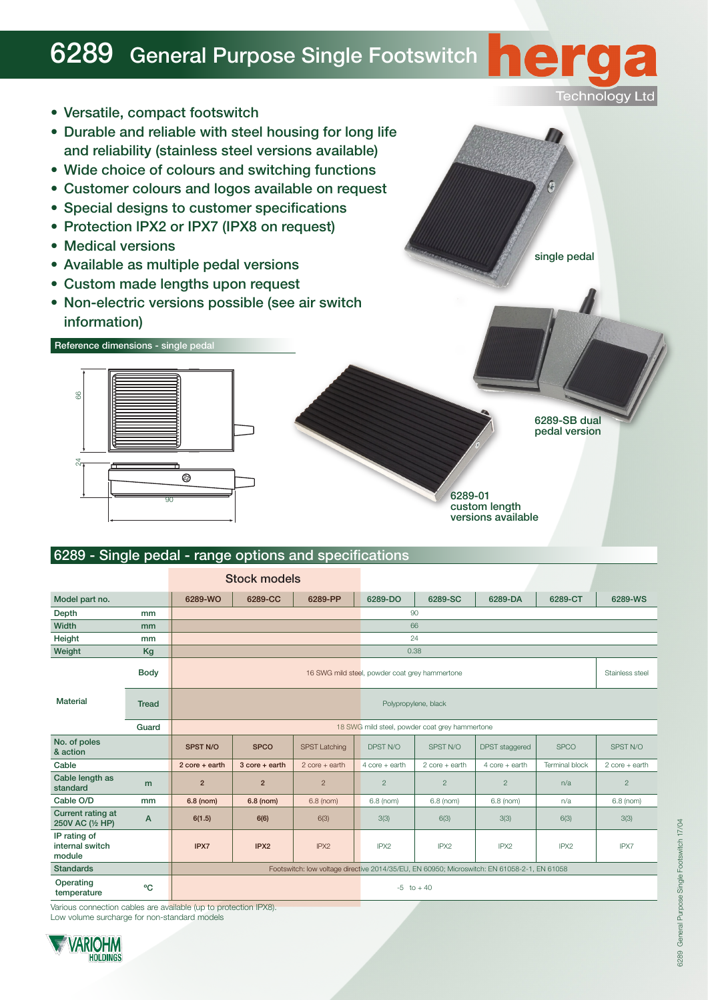## **6289** General Purpose Single Footswitch



|                                           |              | <b>Stock models</b>                                                                         |                                 |                      |                  |                  |                       |                       |                  |
|-------------------------------------------|--------------|---------------------------------------------------------------------------------------------|---------------------------------|----------------------|------------------|------------------|-----------------------|-----------------------|------------------|
| Model part no.                            |              | 6289-WO                                                                                     | 6289-CC                         | 6289-PP              | 6289-DO          | 6289-SC          | 6289-DA               | 6289-CT               | 6289-WS          |
| Depth                                     | mm           |                                                                                             |                                 |                      |                  | 90               |                       |                       |                  |
| Width                                     | mm           |                                                                                             |                                 |                      | 66               |                  |                       |                       |                  |
| Height                                    | mm           |                                                                                             |                                 |                      | 24               |                  |                       |                       |                  |
| Weight                                    | Kg           |                                                                                             | 0.38                            |                      |                  |                  |                       |                       |                  |
| <b>Material</b>                           | <b>Body</b>  | 16 SWG mild steel, powder coat grey hammertone                                              |                                 |                      |                  | Stainless steel  |                       |                       |                  |
|                                           | <b>Tread</b> | Polypropylene, black                                                                        |                                 |                      |                  |                  |                       |                       |                  |
|                                           | Guard        | 18 SWG mild steel, powder coat grey hammertone                                              |                                 |                      |                  |                  |                       |                       |                  |
| No. of poles<br>& action                  |              | <b>SPST N/O</b>                                                                             | <b>SPCO</b>                     | <b>SPST Latching</b> | DPST N/O         | SPST N/O         | <b>DPST</b> staggered | <b>SPCO</b>           | SPST N/O         |
| Cable                                     |              | $2 \text{ core} + \text{earth}$                                                             | $3 \text{ core} + \text{earth}$ | $2$ core + earth     | $4$ core + earth | $2$ core + earth | $4$ core + earth      | <b>Terminal block</b> | $2$ core + earth |
| Cable length as<br>standard               | m            | $\overline{2}$                                                                              | $\overline{2}$                  | $\overline{c}$       | $\overline{2}$   | $\mathbf{2}$     | $\overline{2}$        | n/a                   | $\overline{2}$   |
| Cable O/D                                 | mm           | 6.8 (nom)                                                                                   | 6.8 (nom)                       | $6.8$ (nom)          | 6.8 (nom)        | 6.8 (nom)        | 6.8 (nom)             | n/a                   | 6.8 (nom)        |
| Current rating at<br>250V AC (1/2 HP)     | A            | 6(1.5)                                                                                      | 6(6)                            | 6(3)                 | 3(3)             | 6(3)             | 3(3)                  | 6(3)                  | 3(3)             |
| IP rating of<br>internal switch<br>module |              | IPX7                                                                                        | IPX2                            | IPX <sub>2</sub>     | IPX2             | IPX2             | IPX <sub>2</sub>      | IPX <sub>2</sub>      | IPX7             |
| <b>Standards</b>                          |              | Footswitch: low voltage directive 2014/35/EU, EN 60950; Microswitch: EN 61058-2-1, EN 61058 |                                 |                      |                  |                  |                       |                       |                  |
| Operating<br>temperature                  | °C           |                                                                                             |                                 |                      | $-5$ to $+40$    |                  |                       |                       |                  |

Various connection cables are available (up to protection IPX8).

Low volume surcharge for non-standard models